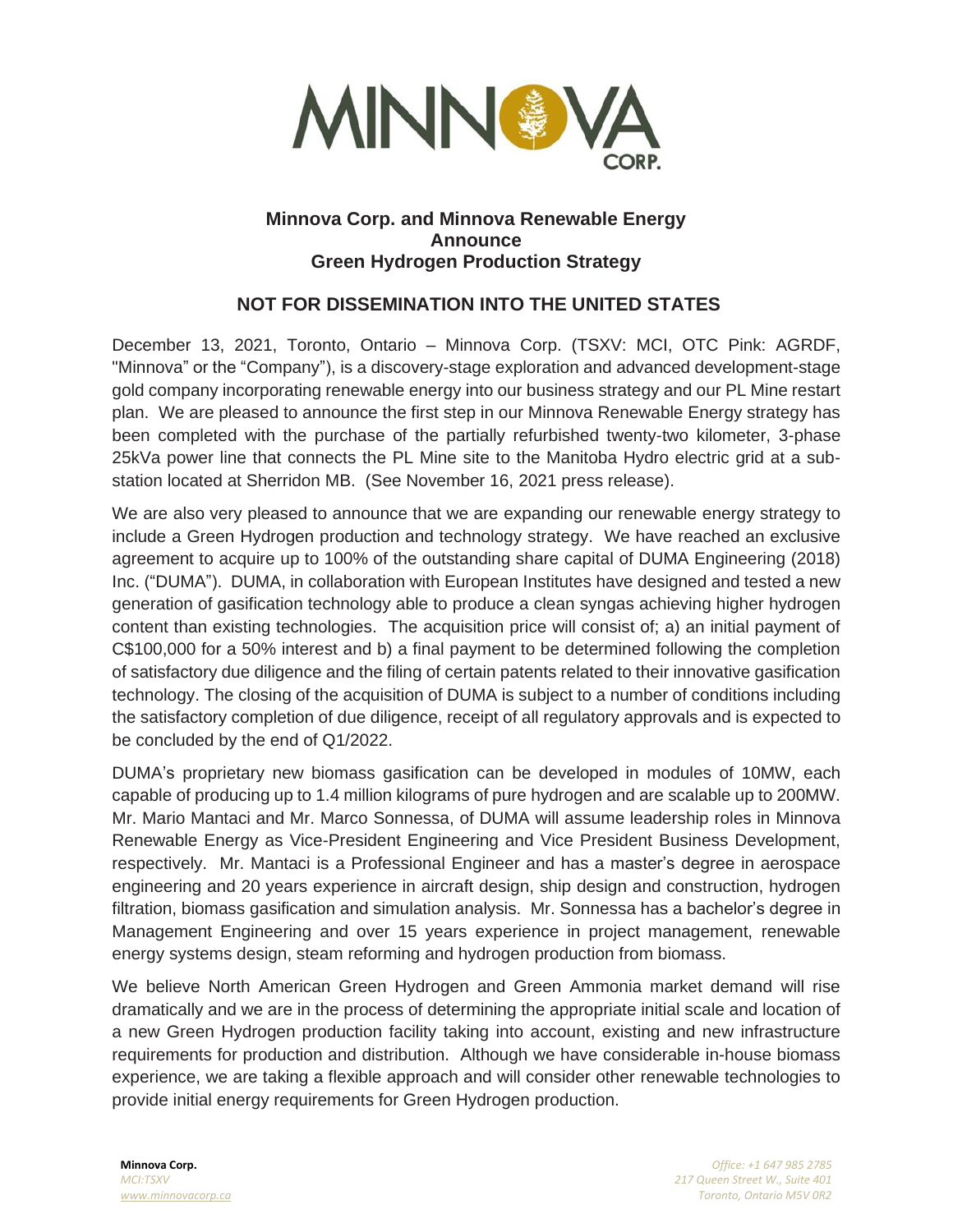

## **Minnova Corp. and Minnova Renewable Energy Announce Green Hydrogen Production Strategy**

# **NOT FOR DISSEMINATION INTO THE UNITED STATES**

December 13, 2021, Toronto, Ontario – Minnova Corp. (TSXV: MCI, OTC Pink: AGRDF, "Minnova" or the "Company"), is a discovery-stage exploration and advanced development-stage gold company incorporating renewable energy into our business strategy and our PL Mine restart plan. We are pleased to announce the first step in our Minnova Renewable Energy strategy has been completed with the purchase of the partially refurbished twenty-two kilometer, 3-phase 25kVa power line that connects the PL Mine site to the Manitoba Hydro electric grid at a substation located at Sherridon MB. (See November 16, 2021 press release).

We are also very pleased to announce that we are expanding our renewable energy strategy to include a Green Hydrogen production and technology strategy. We have reached an exclusive agreement to acquire up to 100% of the outstanding share capital of DUMA Engineering (2018) Inc. ("DUMA"). DUMA, in collaboration with European Institutes have designed and tested a new generation of gasification technology able to produce a clean syngas achieving higher hydrogen content than existing technologies. The acquisition price will consist of; a) an initial payment of C\$100,000 for a 50% interest and b) a final payment to be determined following the completion of satisfactory due diligence and the filing of certain patents related to their innovative gasification technology. The closing of the acquisition of DUMA is subject to a number of conditions including the satisfactory completion of due diligence, receipt of all regulatory approvals and is expected to be concluded by the end of Q1/2022.

DUMA's proprietary new biomass gasification can be developed in modules of 10MW, each capable of producing up to 1.4 million kilograms of pure hydrogen and are scalable up to 200MW. Mr. Mario Mantaci and Mr. Marco Sonnessa, of DUMA will assume leadership roles in Minnova Renewable Energy as Vice-President Engineering and Vice President Business Development, respectively. Mr. Mantaci is a Professional Engineer and has a master's degree in aerospace engineering and 20 years experience in aircraft design, ship design and construction, hydrogen filtration, biomass gasification and simulation analysis. Mr. Sonnessa has a bachelor's degree in Management Engineering and over 15 years experience in project management, renewable energy systems design, steam reforming and hydrogen production from biomass.

We believe North American Green Hydrogen and Green Ammonia market demand will rise dramatically and we are in the process of determining the appropriate initial scale and location of a new Green Hydrogen production facility taking into account, existing and new infrastructure requirements for production and distribution. Although we have considerable in-house biomass experience, we are taking a flexible approach and will consider other renewable technologies to provide initial energy requirements for Green Hydrogen production.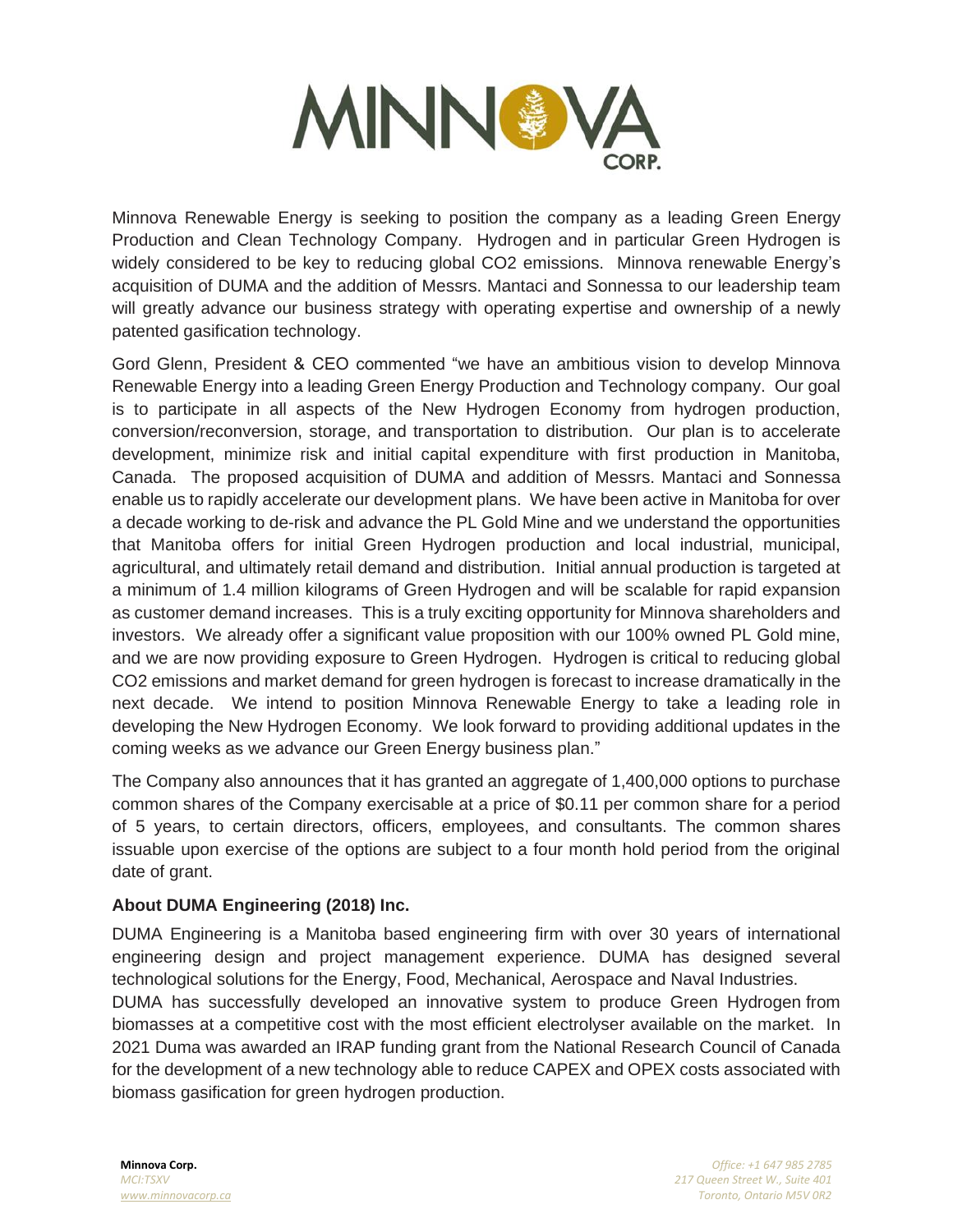

Minnova Renewable Energy is seeking to position the company as a leading Green Energy Production and Clean Technology Company. Hydrogen and in particular Green Hydrogen is widely considered to be key to reducing global CO2 emissions. Minnova renewable Energy's acquisition of DUMA and the addition of Messrs. Mantaci and Sonnessa to our leadership team will greatly advance our business strategy with operating expertise and ownership of a newly patented gasification technology.

Gord Glenn, President & CEO commented "we have an ambitious vision to develop Minnova Renewable Energy into a leading Green Energy Production and Technology company. Our goal is to participate in all aspects of the New Hydrogen Economy from hydrogen production, conversion/reconversion, storage, and transportation to distribution. Our plan is to accelerate development, minimize risk and initial capital expenditure with first production in Manitoba, Canada. The proposed acquisition of DUMA and addition of Messrs. Mantaci and Sonnessa enable us to rapidly accelerate our development plans. We have been active in Manitoba for over a decade working to de-risk and advance the PL Gold Mine and we understand the opportunities that Manitoba offers for initial Green Hydrogen production and local industrial, municipal, agricultural, and ultimately retail demand and distribution. Initial annual production is targeted at a minimum of 1.4 million kilograms of Green Hydrogen and will be scalable for rapid expansion as customer demand increases. This is a truly exciting opportunity for Minnova shareholders and investors. We already offer a significant value proposition with our 100% owned PL Gold mine, and we are now providing exposure to Green Hydrogen. Hydrogen is critical to reducing global CO2 emissions and market demand for green hydrogen is forecast to increase dramatically in the next decade. We intend to position Minnova Renewable Energy to take a leading role in developing the New Hydrogen Economy. We look forward to providing additional updates in the coming weeks as we advance our Green Energy business plan."

The Company also announces that it has granted an aggregate of 1,400,000 options to purchase common shares of the Company exercisable at a price of \$0.11 per common share for a period of 5 years, to certain directors, officers, employees, and consultants. The common shares issuable upon exercise of the options are subject to a four month hold period from the original date of grant.

## **About DUMA Engineering (2018) Inc.**

DUMA Engineering is a Manitoba based engineering firm with over 30 years of international engineering design and project management experience. DUMA has designed several technological solutions for the Energy, Food, Mechanical, Aerospace and Naval Industries. DUMA has successfully developed an innovative system to produce Green Hydrogen from biomasses at a competitive cost with the most efficient electrolyser available on the market. In 2021 Duma was awarded an IRAP funding grant from the National Research Council of Canada for the development of a new technology able to reduce CAPEX and OPEX costs associated with biomass gasification for green hydrogen production.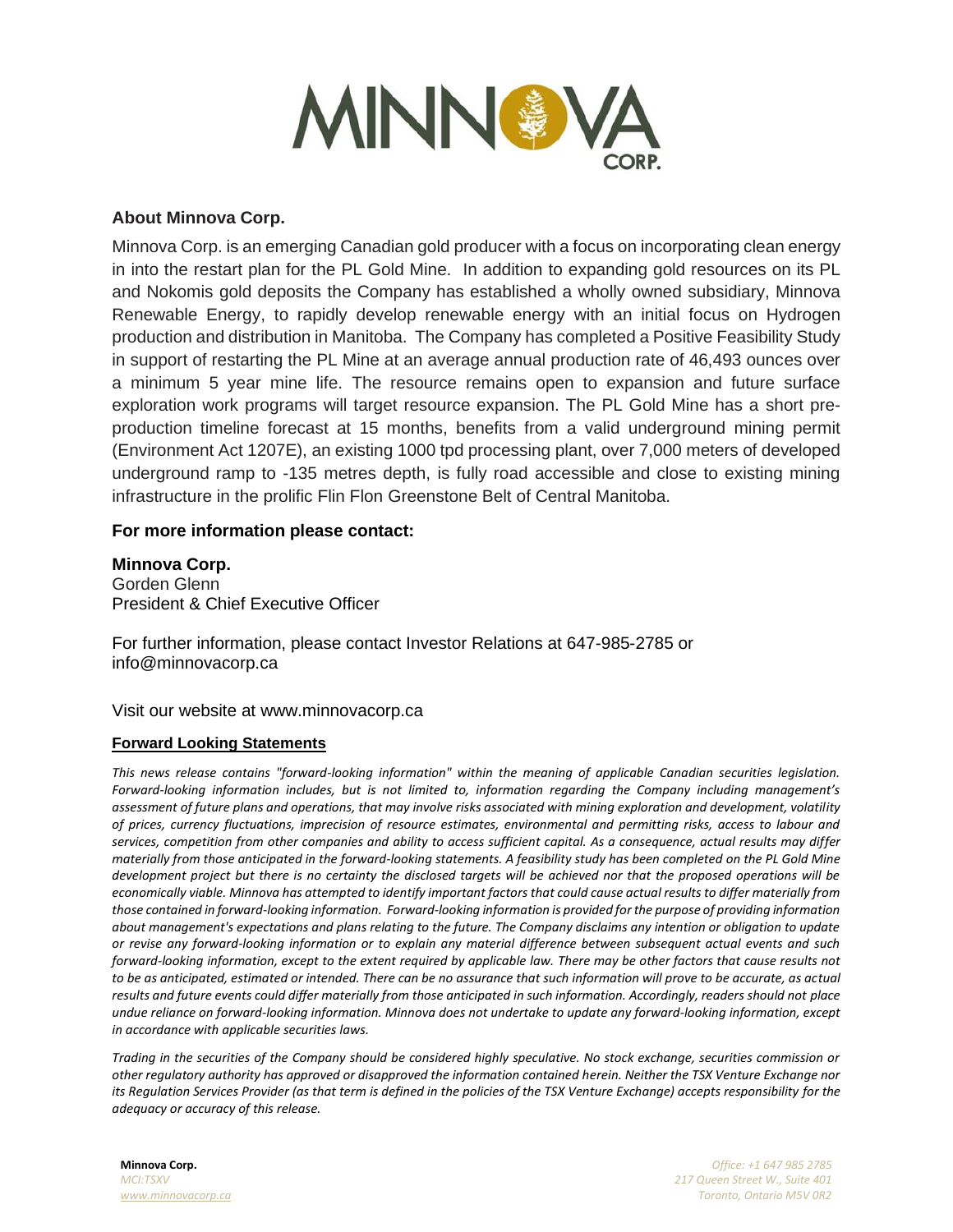

### **About Minnova Corp.**

Minnova Corp. is an emerging Canadian gold producer with a focus on incorporating clean energy in into the restart plan for the PL Gold Mine. In addition to expanding gold resources on its PL and Nokomis gold deposits the Company has established a wholly owned subsidiary, Minnova Renewable Energy, to rapidly develop renewable energy with an initial focus on Hydrogen production and distribution in Manitoba. The Company has completed a Positive Feasibility Study in support of restarting the PL Mine at an average annual production rate of 46,493 ounces over a minimum 5 year mine life. The resource remains open to expansion and future surface exploration work programs will target resource expansion. The PL Gold Mine has a short preproduction timeline forecast at 15 months, benefits from a valid underground mining permit (Environment Act 1207E), an existing 1000 tpd processing plant, over 7,000 meters of developed underground ramp to -135 metres depth, is fully road accessible and close to existing mining infrastructure in the prolific Flin Flon Greenstone Belt of Central Manitoba.

#### **For more information please contact:**

**Minnova Corp.** Gorden Glenn President & Chief Executive Officer

For further information, please contact Investor Relations at 647-985-2785 or info@minnovacorp.ca

Visit our website at www.minnovacorp.ca

#### **Forward Looking Statements**

*This news release contains "forward-looking information" within the meaning of applicable Canadian securities legislation. Forward-looking information includes, but is not limited to, information regarding the Company including management's assessment of future plans and operations, that may involve risks associated with mining exploration and development, volatility of prices, currency fluctuations, imprecision of resource estimates, environmental and permitting risks, access to labour and services, competition from other companies and ability to access sufficient capital. As a consequence, actual results may differ materially from those anticipated in the forward-looking statements. A feasibility study has been completed on the PL Gold Mine development project but there is no certainty the disclosed targets will be achieved nor that the proposed operations will be economically viable. Minnova has attempted to identify important factors that could cause actual results to differ materially from those contained in forward-looking information. Forward-looking information is provided for the purpose of providing information about management's expectations and plans relating to the future. The Company disclaims any intention or obligation to update or revise any forward-looking information or to explain any material difference between subsequent actual events and such forward-looking information, except to the extent required by applicable law. There may be other factors that cause results not to be as anticipated, estimated or intended. There can be no assurance that such information will prove to be accurate, as actual results and future events could differ materially from those anticipated in such information. Accordingly, readers should not place undue reliance on forward-looking information. Minnova does not undertake to update any forward-looking information, except in accordance with applicable securities laws.*

*Trading in the securities of the Company should be considered highly speculative. No stock exchange, securities commission or other regulatory authority has approved or disapproved the information contained herein. Neither the TSX Venture Exchange nor its Regulation Services Provider (as that term is defined in the policies of the TSX Venture Exchange) accepts responsibility for the adequacy or accuracy of this release.*